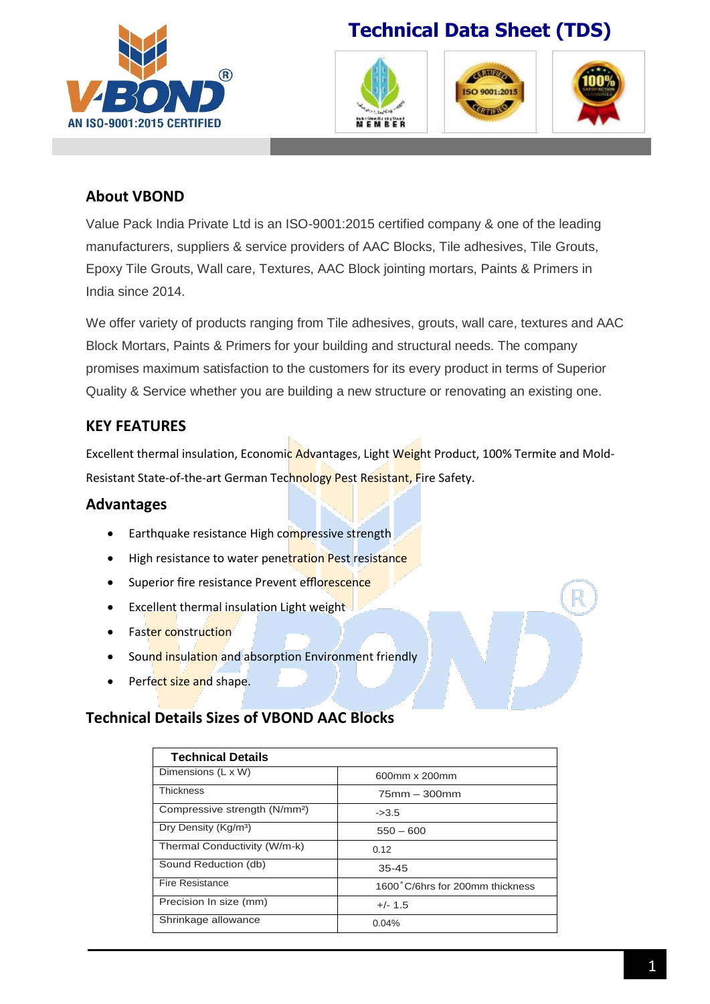

# **Technical Data Sheet (TDS)**







## **About VBOND**

Value Pack India Private Ltd is an ISO-9001:2015 certified company & one of the leading manufacturers, suppliers & service providers of AAC Blocks, Tile adhesives, Tile Grouts, Epoxy Tile Grouts, Wall care, Textures, AAC Block jointing mortars, Paints & Primers in India since 2014.

We offer variety of products ranging from Tile adhesives, grouts, wall care, textures and AAC Block Mortars, Paints & Primers for your building and structural needs. The company promises maximum satisfaction to the customers for its every product in terms of Superior Quality & Service whether you are building a new structure or renovating an existing one.

## **KEY FEATURES**

Excellent thermal insulation, Economic Advantages, Light Weight Product, 100% Termite and Mold-Resistant State-of-the-art German Technology Pest Resistant, Fire Safety.

### **Advantages**

- **Earthquake resistance High compressive strength**
- High resistance to water penetration Pest resistance
- Superior fire resistance Prevent efflorescence
- Excellent thermal insulation Light weight
- Faster construction
- Sound insulation and absorption Environment friendly
- Perfect size and shape.

### **Technical Details Sizes of VBOND AAC Blocks**

| <b>Technical Details</b>                  |                                 |
|-------------------------------------------|---------------------------------|
| Dimensions (L x W)                        | 600mm x 200mm                   |
| <b>Thickness</b>                          | $75$ mm $-300$ mm               |
| Compressive strength (N/mm <sup>2</sup> ) | $-23.5$                         |
| Dry Density (Kg/m <sup>3</sup> )          | $550 - 600$                     |
| Thermal Conductivity (W/m-k)              | 0.12                            |
| Sound Reduction (db)                      | $35 - 45$                       |
| <b>Fire Resistance</b>                    | 1600°C/6hrs for 200mm thickness |
| Precision In size (mm)                    | $+/- 1.5$                       |
| Shrinkage allowance                       | 0.04%                           |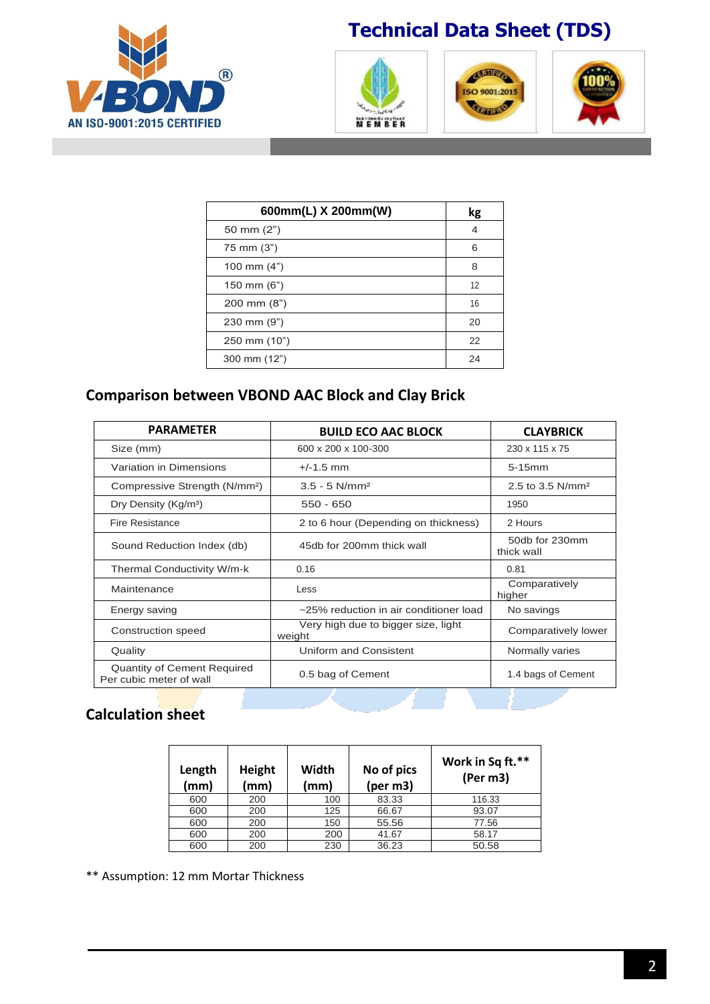

## **Technical Data Sheet (TDS)**







| 600mm(L) X 200mm(W)   | kg |
|-----------------------|----|
| 50 mm (2")            | 4  |
| 75 mm (3")            | 6  |
| 100 mm $(4")$         | 8  |
| 150 mm (6")           | 12 |
| $200 \text{ mm} (8")$ | 16 |
| $230 \text{ mm} (9")$ | 20 |
| 250 mm (10")          | 22 |
| $300 \text{ mm} (12)$ | 24 |

## **Comparison between VBOND AAC Block and Clay Brick**

| <b>PARAMETER</b>                                              | <b>BUILD ECO AAC BLOCK</b>                    | <b>CLAYBRICK</b>             |  |
|---------------------------------------------------------------|-----------------------------------------------|------------------------------|--|
| Size (mm)                                                     | 600 x 200 x 100-300                           | 230 x 115 x 75               |  |
| Variation in Dimensions                                       | $+/-1.5$ mm                                   | $5-15$ mm                    |  |
| Compressive Strength (N/mm <sup>2</sup> )                     | $3.5 - 5$ N/mm <sup>2</sup>                   | 2.5 to 3.5 $N/mm^2$          |  |
| Dry Density (Kg/m <sup>3</sup> )                              | $550 - 650$                                   | 1950                         |  |
| Fire Resistance                                               | 2 to 6 hour (Depending on thickness)          | 2 Hours                      |  |
| Sound Reduction Index (db)                                    | 45db for 200mm thick wall                     | 50db for 230mm<br>thick wall |  |
| Thermal Conductivity W/m-k                                    | 0.16                                          | 0.81                         |  |
| Maintenance                                                   | Less                                          | Comparatively<br>higher      |  |
| Energy saving                                                 | ~25% reduction in air conditioner load        | No savings                   |  |
| Construction speed                                            | Very high due to bigger size, light<br>weight | Comparatively lower          |  |
| Quality                                                       | Uniform and Consistent                        | Normally varies              |  |
| <b>Quantity of Cement Required</b><br>Per cubic meter of wall | 0.5 bag of Cement                             | 1.4 bags of Cement           |  |

## **Calculation sheet**

| Length<br>(mm) | Height<br>(mm) | Width<br>(mm) | No of pics<br>(per m3) | Work in Sq ft.**<br>(Per m3) |
|----------------|----------------|---------------|------------------------|------------------------------|
| 600            | 200            | 100           | 83.33                  | 116.33                       |
| 600            | 200            | 125           | 66.67                  | 93.07                        |
| 600            | 200            | 150           | 55.56                  | 77.56                        |
| 600            | 200            | 200           | 41.67                  | 58.17                        |
| 600            | 200            | 230           | 36.23                  | 50.58                        |

\*\* Assumption: 12 mm Mortar Thickness